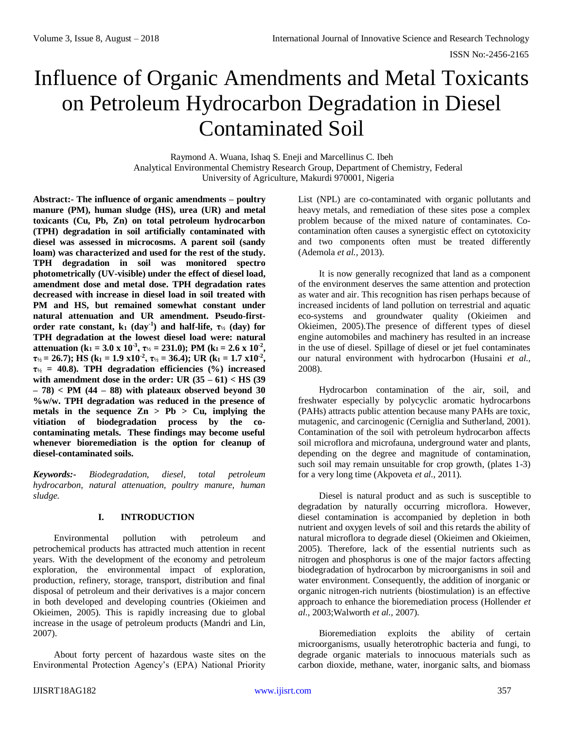# Influence of Organic Amendments and Metal Toxicants on Petroleum Hydrocarbon Degradation in Diesel Contaminated Soil

Raymond A. Wuana, Ishaq S. Eneji and Marcellinus C. Ibeh Analytical Environmental Chemistry Research Group, Department of Chemistry, Federal University of Agriculture, Makurdi 970001, Nigeria

**Abstract:- The influence of organic amendments – poultry manure (PM), human sludge (HS), urea (UR) and metal toxicants (Cu, Pb, Zn) on total petroleum hydrocarbon (TPH) degradation in soil artificially contaminated with diesel was assessed in microcosms. A parent soil (sandy loam) was characterized and used for the rest of the study. TPH degradation in soil was monitored spectro photometrically (UV-visible) under the effect of diesel load, amendment dose and metal dose. TPH degradation rates decreased with increase in diesel load in soil treated with PM and HS, but remained somewhat constant under natural attenuation and UR amendment. Pseudo-firstorder rate constant, k**<sub>1</sub>  $(\text{day}^{-1})$  and half-life,  $\tau$ <sup>1</sup>/<sub>2</sub>  $(\text{day})$  for **TPH degradation at the lowest diesel load were: natural attenuation** (k<sub>1</sub> = 3.0 x 10<sup>-3</sup>,  $\tau$ <sub>1/2</sub> = 231.0); PM (k<sub>1</sub> = 2.6 x 10<sup>-2</sup>),  $\tau_{1/2} = 26.7$ ); HS (k<sub>1</sub> = 1.9 x10<sup>-2</sup>,  $\tau_{1/2} = 36.4$ ); UR (k<sub>1</sub> = 1.7 x10<sup>-2</sup>), **τ<sup>½</sup> = 40.8). TPH degradation efficiencies (%) increased with amendment dose in the order: UR (35 – 61) < HS (39 – 78) < PM (44 – 88) with plateaux observed beyond 30 %w/w. TPH degradation was reduced in the presence of metals in the sequence Zn > Pb > Cu, implying the vitiation of biodegradation process by the cocontaminating metals. These findings may become useful whenever bioremediation is the option for cleanup of diesel-contaminated soils.**

*Keywords:- Biodegradation, diesel, total petroleum hydrocarbon, natural attenuation, poultry manure, human sludge.*

# **I. INTRODUCTION**

Environmental pollution with petroleum and petrochemical products has attracted much attention in recent years. With the development of the economy and petroleum exploration, the environmental impact of exploration, production, refinery, storage, transport, distribution and final disposal of petroleum and their derivatives is a major concern in both developed and developing countries (Okieimen and Okieimen, 2005). This is rapidly increasing due to global increase in the usage of petroleum products (Mandri and Lin, 2007).

About forty percent of hazardous waste sites on the Environmental Protection Agency's (EPA) National Priority

List (NPL) are co-contaminated with organic pollutants and heavy metals, and remediation of these sites pose a complex problem because of the mixed nature of contaminates. Cocontamination often causes a synergistic effect on cytotoxicity and two components often must be treated differently (Ademola *et al.,* 2013).

It is now generally recognized that land as a component of the environment deserves the same attention and protection as water and air. This recognition has risen perhaps because of increased incidents of land pollution on terrestrial and aquatic eco-systems and groundwater quality (Okieimen and Okieimen, 2005).The presence of different types of diesel engine automobiles and machinery has resulted in an increase in the use of diesel. Spillage of diesel or jet fuel contaminates our natural environment with hydrocarbon (Husaini *et al.,* 2008).

Hydrocarbon contamination of the air, soil, and freshwater especially by polycyclic aromatic hydrocarbons (PAHs) attracts public attention because many PAHs are toxic, mutagenic, and carcinogenic (Cerniglia and Sutherland, 2001). Contamination of the soil with petroleum hydrocarbon affects soil microflora and microfauna, underground water and plants, depending on the degree and magnitude of contamination, such soil may remain unsuitable for crop growth, (plates 1-3) for a very long time (Akpoveta *et al.,* 2011).

Diesel is natural product and as such is susceptible to degradation by naturally occurring microflora. However, diesel contamination is accompanied by depletion in both nutrient and oxygen levels of soil and this retards the ability of natural microflora to degrade diesel (Okieimen and Okieimen, 2005). Therefore, lack of the essential nutrients such as nitrogen and phosphorus is one of the major factors affecting biodegradation of hydrocarbon by microorganisms in soil and water environment. Consequently, the addition of inorganic or organic nitrogen-rich nutrients (biostimulation) is an effective approach to enhance the bioremediation process (Hollender *et al.,* 2003;Walworth *et al.,* 2007).

Bioremediation exploits the ability of certain microorganisms, usually heterotrophic bacteria and fungi, to degrade organic materials to innocuous materials such as carbon dioxide, methane, water, inorganic salts, and biomass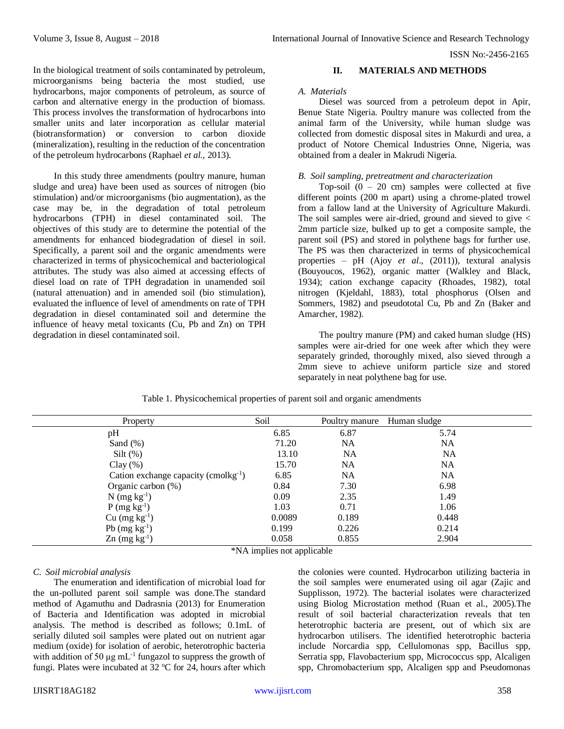In the biological treatment of soils contaminated by petroleum, microorganisms being bacteria the most studied, use hydrocarbons, major components of petroleum, as source of carbon and alternative energy in the production of biomass. This process involves the transformation of hydrocarbons into smaller units and later incorporation as cellular material (biotransformation) or conversion to carbon dioxide (mineralization), resulting in the reduction of the concentration of the petroleum hydrocarbons (Raphael *et al.,* 2013).

In this study three amendments (poultry manure, human sludge and urea) have been used as sources of nitrogen (bio stimulation) and/or microorganisms (bio augmentation), as the case may be, in the degradation of total petroleum hydrocarbons (TPH) in diesel contaminated soil. The objectives of this study are to determine the potential of the amendments for enhanced biodegradation of diesel in soil. Specifically, a parent soil and the organic amendments were characterized in terms of physicochemical and bacteriological attributes. The study was also aimed at accessing effects of diesel load on rate of TPH degradation in unamended soil (natural attenuation) and in amended soil (bio stimulation), evaluated the influence of level of amendments on rate of TPH degradation in diesel contaminated soil and determine the influence of heavy metal toxicants (Cu, Pb and Zn) on TPH degradation in diesel contaminated soil.

# **II. MATERIALS AND METHODS**

#### *A. Materials*

Diesel was sourced from a petroleum depot in Apir, Benue State Nigeria. Poultry manure was collected from the animal farm of the University, while human sludge was collected from domestic disposal sites in Makurdi and urea, a product of Notore Chemical Industries Onne, Nigeria, was obtained from a dealer in Makrudi Nigeria.

## *B. Soil sampling, pretreatment and characterization*

Top-soil  $(0 - 20$  cm) samples were collected at five different points (200 m apart) using a chrome-plated trowel from a fallow land at the University of Agriculture Makurdi. The soil samples were air-dried, ground and sieved to give < 2mm particle size, bulked up to get a composite sample, the parent soil (PS) and stored in polythene bags for further use. The PS was then characterized in terms of physicochemical properties – pH (Ajoy *et al*., (2011)), textural analysis (Bouyoucos, 1962), organic matter (Walkley and Black, 1934); cation exchange capacity (Rhoades, 1982), total nitrogen (Kjeldahl, 1883), total phosphorus (Olsen and Sommers, 1982) and pseudototal Cu, Pb and Zn (Baker and Amarcher, 1982).

The poultry manure (PM) and caked human sludge (HS) samples were air-dried for one week after which they were separately grinded, thoroughly mixed, also sieved through a 2mm sieve to achieve uniform particle size and stored separately in neat polythene bag for use.

| Property                                   | Soil   | Poultry manure | Human sludge |
|--------------------------------------------|--------|----------------|--------------|
| pH                                         | 6.85   | 6.87           | 5.74         |
| Sand $(\%)$                                | 71.20  | NA             | NA           |
| Silt $(\%)$                                | 13.10  | <b>NA</b>      | <b>NA</b>    |
| Clay $(\%)$                                | 15.70  | NA             | NA           |
| Cation exchange capacity (cmolkg $^{-1}$ ) | 6.85   | NA             | NA           |
| Organic carbon $(\%)$                      | 0.84   | 7.30           | 6.98         |
| $N$ (mg kg <sup>-1</sup> )                 | 0.09   | 2.35           | 1.49         |
| $P$ (mg kg <sup>-1</sup> )                 | 1.03   | 0.71           | 1.06         |
| $Cu$ (mg kg <sup>-1</sup> )                | 0.0089 | 0.189          | 0.448        |
| Pb $(mg kg^{-1})$                          | 0.199  | 0.226          | 0.214        |
| $\text{Zn}$ (mg kg <sup>-1</sup> )         | 0.058  | 0.855          | 2.904        |

Table 1. Physicochemical properties of parent soil and organic amendments

\*NA implies not applicable

# *C. Soil microbial analysis*

The enumeration and identification of microbial load for the un-polluted parent soil sample was done.The standard method of Agamuthu and Dadrasnia (2013) for Enumeration of Bacteria and Identification was adopted in microbial analysis. The method is described as follows; 0.1mL of serially diluted soil samples were plated out on nutrient agar medium (oxide) for isolation of aerobic, heterotrophic bacteria with addition of 50  $\mu$ g mL<sup>-1</sup> fungazol to suppress the growth of fungi. Plates were incubated at  $32$  °C for 24, hours after which

the colonies were counted. Hydrocarbon utilizing bacteria in the soil samples were enumerated using oil agar (Zajic and Supplisson, 1972). The bacterial isolates were characterized using Biolog Microstation method (Ruan et al., 2005).The result of soil bacterial characterization reveals that ten heterotrophic bacteria are present, out of which six are hydrocarbon utilisers. The identified heterotrophic bacteria include Norcardia spp, Cellulomonas spp, Bacillus spp, Serratia spp, Flavobacterium spp, Micrococcus spp, Alcaligen spp, Chromobacterium spp, Alcaligen spp and Pseudomonas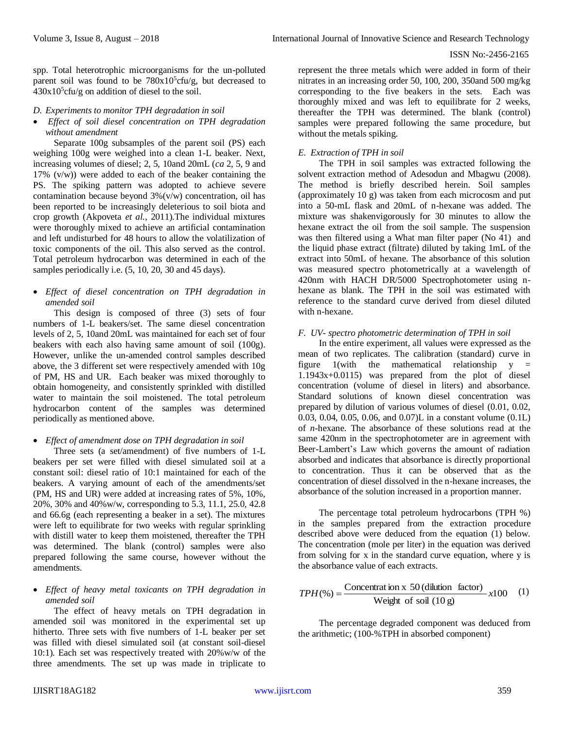spp. Total heterotrophic microorganisms for the un-polluted parent soil was found to be  $780x10^5$ cfu/g, but decreased to  $430x10<sup>5</sup>$ cfu/g on addition of diesel to the soil.

# *D. Experiments to monitor TPH degradation in soil*

 *Effect of soil diesel concentration on TPH degradation without amendment*

Separate 100g subsamples of the parent soil (PS) each weighing 100g were weighed into a clean 1-L beaker. Next, increasing volumes of diesel; 2, 5, 10and 20mL (*ca* 2, 5, 9 and 17%  $(v/w)$  were added to each of the beaker containing the PS. The spiking pattern was adopted to achieve severe contamination because beyond 3%(v/w) concentration, oil has been reported to be increasingly deleterious to soil biota and crop growth (Akpoveta *et al.,* 2011).The individual mixtures were thoroughly mixed to achieve an artificial contamination and left undisturbed for 48 hours to allow the volatilization of toxic components of the oil. This also served as the control. Total petroleum hydrocarbon was determined in each of the samples periodically i.e.  $(5, 10, 20, 30, 45, 40)$ 

 *Effect of diesel concentration on TPH degradation in amended soil*

This design is composed of three (3) sets of four numbers of 1-L beakers/set. The same diesel concentration levels of 2, 5, 10and 20mL was maintained for each set of four beakers with each also having same amount of soil (100g). However, unlike the un-amended control samples described above, the 3 different set were respectively amended with 10g of PM, HS and UR. Each beaker was mixed thoroughly to obtain homogeneity, and consistently sprinkled with distilled water to maintain the soil moistened. The total petroleum hydrocarbon content of the samples was determined periodically as mentioned above.

# *Effect of amendment dose on TPH degradation in soil*

Three sets (a set/amendment) of five numbers of 1-L beakers per set were filled with diesel simulated soil at a constant soil: diesel ratio of 10:1 maintained for each of the beakers. A varying amount of each of the amendments/set (PM, HS and UR) were added at increasing rates of 5%, 10%, 20%, 30% and 40%w/w, corresponding to 5.3, 11.1, 25.0, 42.8 and 66.6g (each representing a beaker in a set). The mixtures were left to equilibrate for two weeks with regular sprinkling with distill water to keep them moistened, thereafter the TPH was determined. The blank (control) samples were also prepared following the same course, however without the amendments.

# *Effect of heavy metal toxicants on TPH degradation in amended soil*

The effect of heavy metals on TPH degradation in amended soil was monitored in the experimental set up hitherto. Three sets with five numbers of 1-L beaker per set was filled with diesel simulated soil (at constant soil-diesel 10:1). Each set was respectively treated with 20%w/w of the three amendments. The set up was made in triplicate to

represent the three metals which were added in form of their nitrates in an increasing order 50, 100, 200, 350and 500 mg/kg corresponding to the five beakers in the sets. Each was thoroughly mixed and was left to equilibrate for 2 weeks, thereafter the TPH was determined. The blank (control) samples were prepared following the same procedure, but without the metals spiking.

# *E. Extraction of TPH in soil*

The TPH in soil samples was extracted following the solvent extraction method of Adesodun and Mbagwu (2008). The method is briefly described herein. Soil samples (approximately 10 g) was taken from each microcosm and put into a 50-mL flask and 20mL of n-hexane was added. The mixture was shakenvigorously for 30 minutes to allow the hexane extract the oil from the soil sample. The suspension was then filtered using a What man filter paper (No 41) and the liquid phase extract (filtrate) diluted by taking 1mL of the extract into 50mL of hexane. The absorbance of this solution was measured spectro photometrically at a wavelength of 420nm with HACH DR/5000 Spectrophotometer using nhexane as blank. The TPH in the soil was estimated with reference to the standard curve derived from diesel diluted with n-hexane.

# *F. UV- spectro photometric determination of TPH in soil*

In the entire experiment, all values were expressed as the mean of two replicates. The calibration (standard) curve in figure  $1$ (with the mathematical relationship  $y =$ 1.1943x+0.0115) was prepared from the plot of diesel concentration (volume of diesel in liters) and absorbance. Standard solutions of known diesel concentration was prepared by dilution of various volumes of diesel (0.01, 0.02, 0.03, 0.04, 0.05, 0.06, and 0.07)L in a constant volume (0.1L) of *n*-hexane. The absorbance of these solutions read at the same 420nm in the spectrophotometer are in agreement with Beer-Lambert's Law which governs the amount of radiation absorbed and indicates that absorbance is directly proportional to concentration. Thus it can be observed that as the concentration of diesel dissolved in the n-hexane increases, the absorbance of the solution increased in a proportion manner.

The percentage total petroleum hydrocarbons (TPH %) in the samples prepared from the extraction procedure described above were deduced from the equation (1) below. The concentration (mole per liter) in the equation was derived from solving for x in the standard curve equation, where y is the absorbance value of each extracts.

$$
TPH(\%) = \frac{\text{Concentration x 50 (dilution factor)}}{\text{Weight of soil (10 g)}} \times 100 \quad (1)
$$

The percentage degraded component was deduced from the arithmetic; (100-%TPH in absorbed component)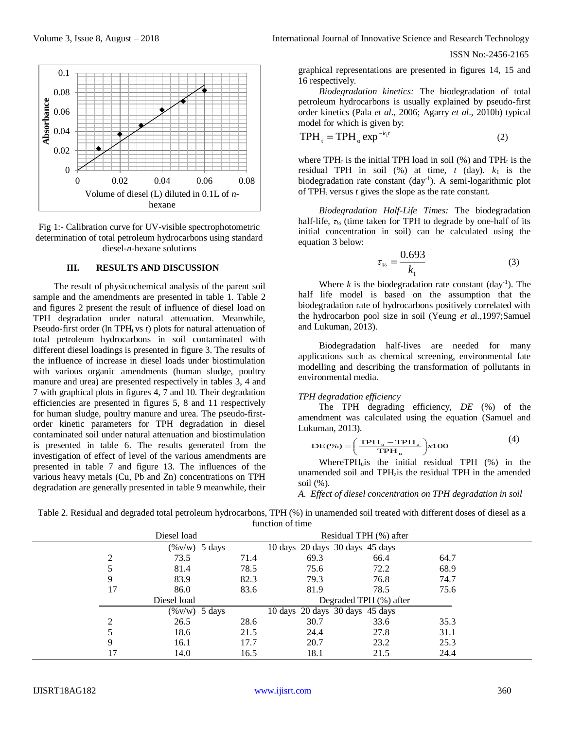

Fig 1:- Calibration curve for UV-visible spectrophotometric determination of total petroleum hydrocarbons using standard diesel-*n*-hexane solutions

#### **III. RESULTS AND DISCUSSION**

The result of physicochemical analysis of the parent soil sample and the amendments are presented in table 1. Table 2 and figures 2 present the result of influence of diesel load on TPH degradation under natural attenuation. Meanwhile, Pseudo-first order (ln TPH<sub>t</sub> vs *t*) plots for natural attenuation of total petroleum hydrocarbons in soil contaminated with different diesel loadings is presented in figure 3. The results of the influence of increase in diesel loads under biostimulation with various organic amendments (human sludge, poultry manure and urea) are presented respectively in tables 3, 4 and 7 with graphical plots in figures 4, 7 and 10. Their degradation efficiencies are presented in figures 5, 8 and 11 respectively for human sludge, poultry manure and urea. The pseudo-firstorder kinetic parameters for TPH degradation in diesel contaminated soil under natural attenuation and biostimulation is presented in table 6. The results generated from the investigation of effect of level of the various amendments are presented in table 7 and figure 13. The influences of the various heavy metals (Cu, Pb and Zn) concentrations on TPH degradation are generally presented in table 9 meanwhile, their

graphical representations are presented in figures 14, 15 and 16 respectively.

*Biodegradation kinetics:* The biodegradation of total petroleum hydrocarbons is usually explained by pseudo-first order kinetics (Pala *et al*., 2006; Agarry *et al*., 2010b) typical model for which is given by:

$$
TPH_t = TPH_o \exp^{-k_1 t} \tag{2}
$$

where  $TPH_0$  is the initial TPH load in soil (%) and  $TPH_t$  is the residual TPH in soil  $(\%)$  at time,  $t$  (day).  $k_1$  is the biodegradation rate constant (day<sup>-1</sup>). A semi-logarithmic plot of  $TPH_t$  versus  $t$  gives the slope as the rate constant.

*Biodegradation Half-Life Times:* The biodegradation half-life, *τ*<sup>½</sup> (time taken for TPH to degrade by one-half of its initial concentration in soil) can be calculated using the equation 3 below:

$$
\tau_{1/2} = \frac{0.693}{k_1} \tag{3}
$$

Where  $k$  is the biodegradation rate constant  $\text{ (day}^{-1})$ . The half life model is based on the assumption that the biodegradation rate of hydrocarbons positively correlated with the hydrocarbon pool size in soil (Yeung *et a*l.,1997;Samuel and Lukuman, 2013).

Biodegradation half-lives are needed for many applications such as chemical screening, environmental fate modelling and describing the transformation of pollutants in environmental media.

#### *TPH degradation efficiency*

The TPH degrading efficiency, *DE* (%) of the amendment was calculated using the equation (Samuel and Lukuman, 2013).

$$
DE(\%) = \left(\frac{TPH_u - TPH_a}{TPH_u}\right) x100
$$
 (4)

Where $TPH<sub>u</sub>$  is the initial residual TPH  $(\%)$  in the unamended soil and TPH-is the residual TPH in the amended soil (%).

```
A. Effect of diesel concentration on TPH degradation in soil
```
Table 2. Residual and degraded total petroleum hydrocarbons, TPH (%) in unamended soil treated with different doses of diesel as a function of time

|    | Diesel load              |      |      |      |                                                                                                                        |  |
|----|--------------------------|------|------|------|------------------------------------------------------------------------------------------------------------------------|--|
|    | $(\% \text{v/w})$ 5 days |      |      |      |                                                                                                                        |  |
|    | 73.5                     | 71.4 | 69.3 | 66.4 | 64.7                                                                                                                   |  |
|    | 81.4                     | 78.5 | 75.6 | 72.2 | 68.9                                                                                                                   |  |
| 9  | 83.9                     | 82.3 | 79.3 | 76.8 | 74.7                                                                                                                   |  |
| 17 | 86.0                     | 83.6 | 81.9 | 78.5 | 75.6                                                                                                                   |  |
|    | Diesel load              |      |      |      |                                                                                                                        |  |
|    | $(\% \text{v/w})$ 5 days |      |      |      |                                                                                                                        |  |
|    | 26.5                     | 28.6 | 30.7 | 33.6 | 35.3                                                                                                                   |  |
|    | 18.6                     | 21.5 | 24.4 | 27.8 | 31.1                                                                                                                   |  |
| 9  | 16.1                     | 17.7 | 20.7 | 23.2 | 25.3                                                                                                                   |  |
|    | 14.0                     | 16.5 | 18.1 | 21.5 | 24.4                                                                                                                   |  |
|    |                          |      |      |      | Residual TPH (%) after<br>10 days 20 days 30 days 45 days<br>Degraded TPH (%) after<br>10 days 20 days 30 days 45 days |  |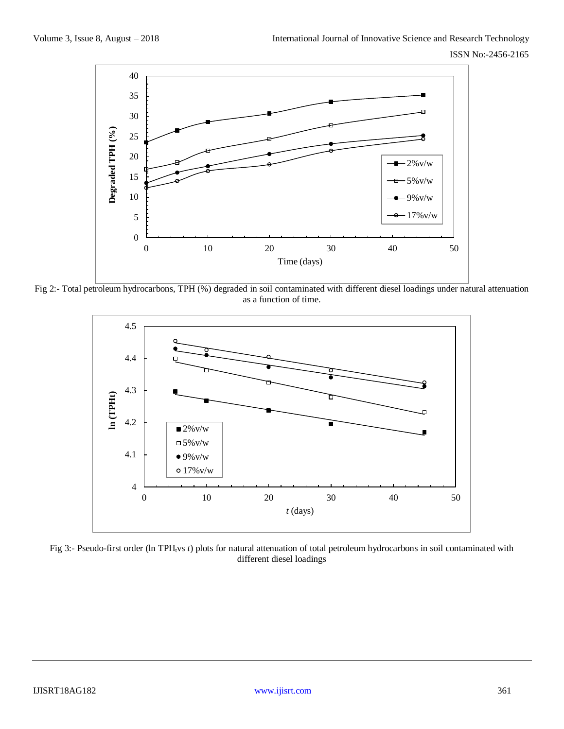

Fig 2:- Total petroleum hydrocarbons, TPH (%) degraded in soil contaminated with different diesel loadings under natural attenuation as a function of time.



Fig 3:- Pseudo-first order (ln TPH<sub>t</sub>vs *t*) plots for natural attenuation of total petroleum hydrocarbons in soil contaminated with different diesel loadings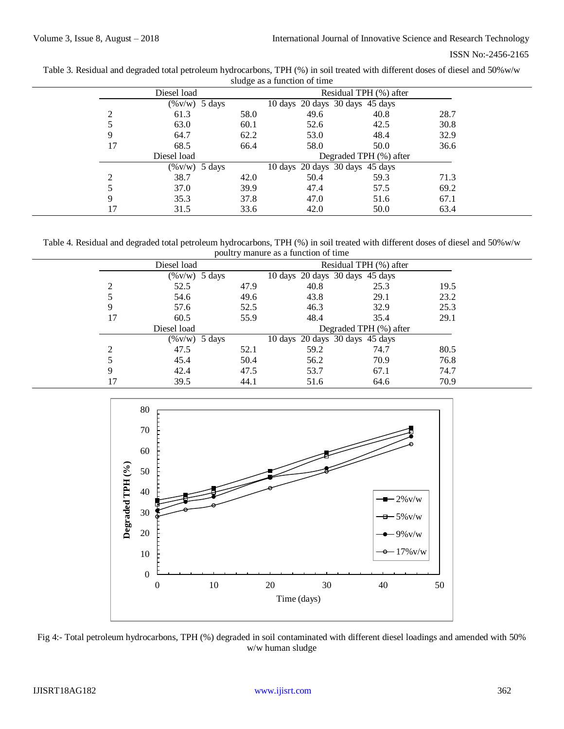| ISSN No:-2456-2165 |
|--------------------|
|                    |

| Table 3. Residual and degraded total petroleum hydrocarbons, TPH (%) in soil treated with different doses of diesel and 50%w/w |
|--------------------------------------------------------------------------------------------------------------------------------|
| sludge as a function of time                                                                                                   |

|    | Diesel load              |      |                                 | Residual TPH (%) after |      |  |
|----|--------------------------|------|---------------------------------|------------------------|------|--|
|    | $(\% \text{v/w})$ 5 days |      | 10 days 20 days 30 days 45 days |                        |      |  |
| 2  | 61.3                     | 58.0 | 49.6                            | 40.8                   | 28.7 |  |
|    | 63.0                     | 60.1 | 52.6                            | 42.5                   | 30.8 |  |
| 9  | 64.7                     | 62.2 | 53.0                            | 48.4                   | 32.9 |  |
| 17 | 68.5                     | 66.4 | 58.0                            | 50.0                   | 36.6 |  |
|    | Diesel load              |      |                                 | Degraded TPH (%) after |      |  |
|    | $(\% \text{v/w})$ 5 days |      | 10 days 20 days 30 days 45 days |                        |      |  |
| ↑  | 38.7                     | 42.0 | 50.4                            | 59.3                   | 71.3 |  |
|    | 37.0                     | 39.9 | 47.4                            | 57.5                   | 69.2 |  |
| 9  | 35.3                     | 37.8 | 47.0                            | 51.6                   | 67.1 |  |
| 17 | 31.5                     | 33.6 | 42.0                            | 50.0                   | 63.4 |  |

Table 4. Residual and degraded total petroleum hydrocarbons, TPH (%) in soil treated with different doses of diesel and 50%w/w poultry manure as a function of time

|    | $\overline{ }$   | $\tilde{\phantom{a}}$ |                                 |                        |      |  |
|----|------------------|-----------------------|---------------------------------|------------------------|------|--|
|    | Diesel load      |                       |                                 | Residual TPH (%) after |      |  |
|    | $(\%v/w)$ 5 days |                       | 10 days 20 days 30 days 45 days |                        |      |  |
| ↑  | 52.5             | 47.9                  | 40.8                            | 25.3                   | 19.5 |  |
|    | 54.6             | 49.6                  | 43.8                            | 29.1                   | 23.2 |  |
| 9  | 57.6             | 52.5                  | 46.3                            | 32.9                   | 25.3 |  |
| 17 | 60.5             | 55.9                  | 48.4                            | 35.4                   | 29.1 |  |
|    | Diesel load      |                       |                                 | Degraded TPH (%) after |      |  |
|    | $(\%v/w)$ 5 days |                       | 10 days 20 days 30 days 45 days |                        |      |  |
| ∍  | 47.5             | 52.1                  | 59.2                            | 74.7                   | 80.5 |  |
|    | 45.4             | 50.4                  | 56.2                            | 70.9                   | 76.8 |  |
| 9  | 42.4             | 47.5                  | 53.7                            | 67.1                   | 74.7 |  |
|    | 39.5             | 44.1                  | 51.6                            | 64.6                   | 70.9 |  |
|    |                  |                       |                                 |                        |      |  |



Fig 4:- Total petroleum hydrocarbons, TPH (%) degraded in soil contaminated with different diesel loadings and amended with 50% w/w human sludge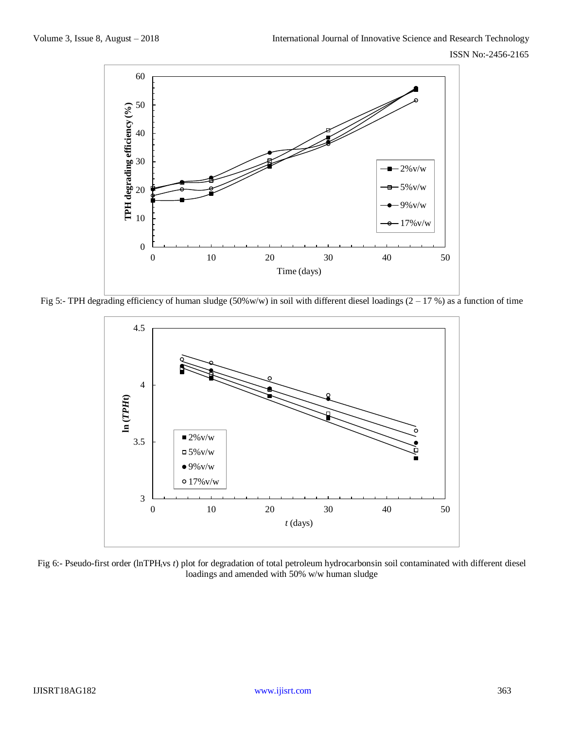

Fig 5:- TPH degrading efficiency of human sludge (50%w/w) in soil with different diesel loadings (2 – 17 %) as a function of time



Fig 6:- Pseudo-first order (lnTPH<sub>t</sub>vs *t*) plot for degradation of total petroleum hydrocarbonsin soil contaminated with different diesel loadings and amended with 50% w/w human sludge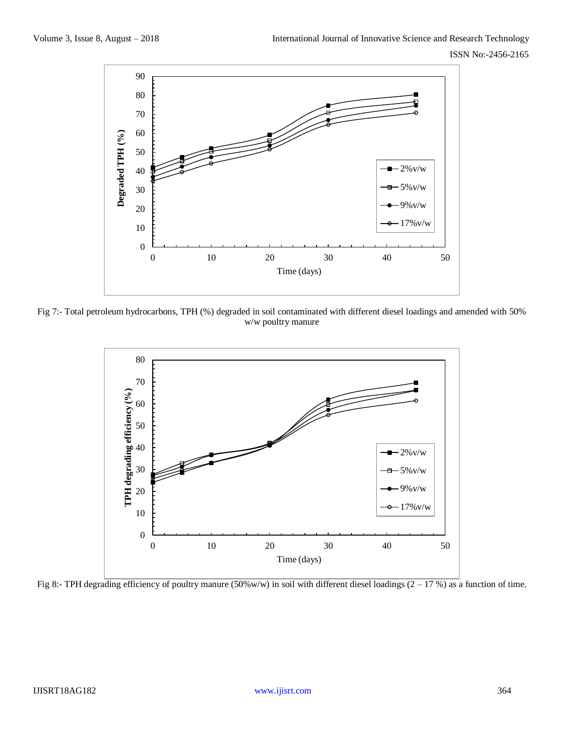ISSN No:-2456-2165



Fig 7:- Total petroleum hydrocarbons, TPH (%) degraded in soil contaminated with different diesel loadings and amended with 50% w/w poultry manure



Fig 8:- TPH degrading efficiency of poultry manure (50%w/w) in soil with different diesel loadings (2 – 17 %) as a function of time.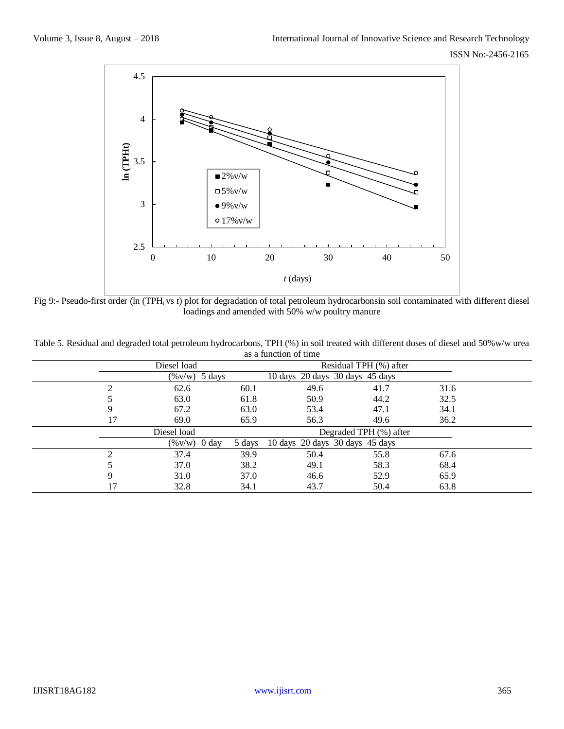

Fig 9:- Pseudo-first order (ln (TPH<sub>t</sub> vs *t*) plot for degradation of total petroleum hydrocarbonsin soil contaminated with different diesel loadings and amended with 50% w/w poultry manure

|    |                  |        | as a function of this |                                       |      |  |
|----|------------------|--------|-----------------------|---------------------------------------|------|--|
|    | Diesel load      |        |                       | Residual TPH (%) after                |      |  |
|    | $(\%v/w)$ 5 days |        |                       | 10 days 20 days 30 days 45 days       |      |  |
| ◠  | 62.6             | 60.1   | 49.6                  | 41.7                                  | 31.6 |  |
|    | 63.0             | 61.8   | 50.9                  | 44.2                                  | 32.5 |  |
| 9  | 67.2             | 63.0   | 53.4                  | 47.1                                  | 34.1 |  |
| 17 | 69.0             | 65.9   | 56.3                  | 49.6                                  | 36.2 |  |
|    | Diesel load      |        |                       | Degraded TPH (%) after                |      |  |
|    | $(\%v/w)$ 0 day  | 5 days |                       | 10 days $20$ days $30$ days $45$ days |      |  |
| ◠  | 37.4             | 39.9   | 50.4                  | 55.8                                  | 67.6 |  |
|    | 37.0             | 38.2   | 49.1                  | 58.3                                  | 68.4 |  |
| 9  | 31.0             | 37.0   | 46.6                  | 52.9                                  | 65.9 |  |
| 17 | 32.8             | 34.1   | 43.7                  | 50.4                                  | 63.8 |  |

Table 5. Residual and degraded total petroleum hydrocarbons, TPH (%) in soil treated with different doses of diesel and 50%w/w urea as a function of time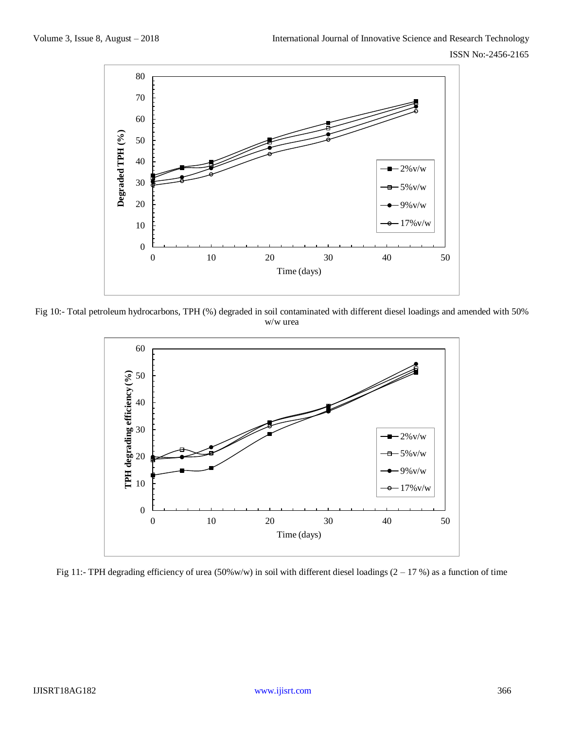

Fig 10:- Total petroleum hydrocarbons, TPH (%) degraded in soil contaminated with different diesel loadings and amended with 50% w/w urea



Fig 11:- TPH degrading efficiency of urea (50%w/w) in soil with different diesel loadings (2 – 17 %) as a function of time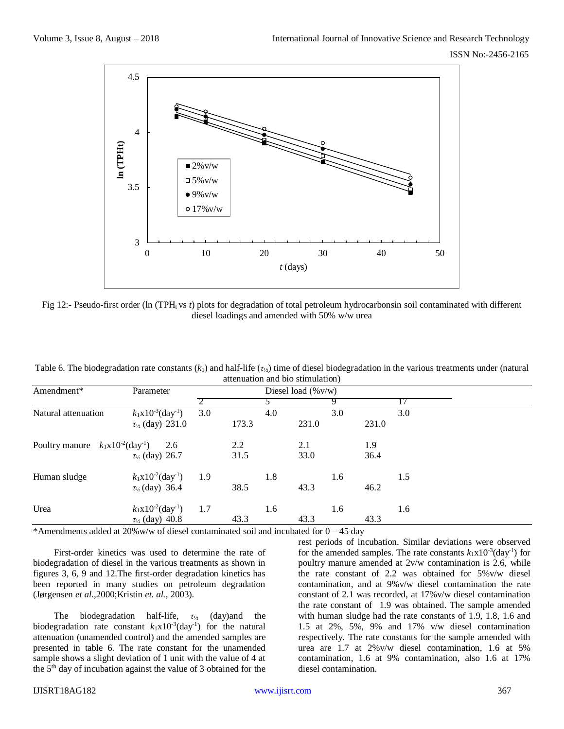

Fig 12:- Pseudo-first order (ln (TPH<sub>t</sub> vs *t*) plots for degradation of total petroleum hydrocarbonsin soil contaminated with different diesel loadings and amended with 50% w/w urea

|                                                   |                                    |     |       |     | attenuation and the sumulation) |     |       |     |  |  |
|---------------------------------------------------|------------------------------------|-----|-------|-----|---------------------------------|-----|-------|-----|--|--|
| Amendment*                                        | Parameter                          |     |       |     | Diesel load $(\%v/w)$           |     |       |     |  |  |
|                                                   |                                    |     |       |     |                                 |     |       |     |  |  |
| Natural attenuation                               | $k_1x10^{-3}$ (day <sup>-1</sup> ) | 3.0 |       | 4.0 |                                 | 3.0 |       | 3.0 |  |  |
|                                                   | $\tau_{1/2}$ (day) 231.0           |     | 173.3 |     | 231.0                           |     | 231.0 |     |  |  |
| Poultry manure $k_1x10^{-2}$ (day <sup>-1</sup> ) | 2.6                                |     | 2.2   |     | 2.1                             |     | 1.9   |     |  |  |
|                                                   | $\tau_{1/2}$ (day) 26.7            |     | 31.5  |     | 33.0                            |     | 36.4  |     |  |  |
| Human sludge                                      | $k_1x10^{-2}$ (day <sup>-1</sup> ) | 1.9 |       | 1.8 |                                 | 1.6 |       | 1.5 |  |  |
|                                                   | $\tau_{1/2}$ (day) 36.4            |     | 38.5  |     | 43.3                            |     | 46.2  |     |  |  |
| Urea                                              | $k_1x10^{-2}$ (day <sup>-1</sup> ) | 1.7 |       | 1.6 |                                 | 1.6 |       | 1.6 |  |  |
|                                                   | $\tau_{1/2}$ (day) 40.8            |     | 43.3  |     | 43.3                            |     | 43.3  |     |  |  |

Table 6. The biodegradation rate constants (*k*1) and half-life (*τ*½) time of diesel biodegradation in the various treatments under (natural attenuation and bio stimulation)

\*Amendments added at  $20\%$  w/w of diesel contaminated soil and incubated for  $0 - 45$  day

First-order kinetics was used to determine the rate of biodegradation of diesel in the various treatments as shown in figures 3, 6, 9 and 12.The first-order degradation kinetics has been reported in many studies on petroleum degradation (Jørgensen *et al.,*2000;Kristin *et. al.,* 2003).

The biodegradation half-life, *τ*<sup>½</sup> (day)and the biodegradation rate constant  $k_1x10^{-3}$  (day<sup>-1</sup>) for the natural attenuation (unamended control) and the amended samples are presented in table 6. The rate constant for the unamended sample shows a slight deviation of 1 unit with the value of 4 at the 5th day of incubation against the value of 3 obtained for the

rest periods of incubation. Similar deviations were observed for the amended samples. The rate constants  $k_1x10^{-3}$ (day<sup>-1</sup>) for poultry manure amended at 2v/w contamination is 2.6, while the rate constant of 2.2 was obtained for 5%v/w diesel contamination, and at 9%v/w diesel contamination the rate constant of 2.1 was recorded, at 17%v/w diesel contamination the rate constant of 1.9 was obtained. The sample amended with human sludge had the rate constants of 1.9, 1.8, 1.6 and 1.5 at 2%, 5%, 9% and 17% v/w diesel contamination respectively. The rate constants for the sample amended with urea are 1.7 at 2%v/w diesel contamination, 1.6 at 5% contamination, 1.6 at 9% contamination, also 1.6 at 17% diesel contamination.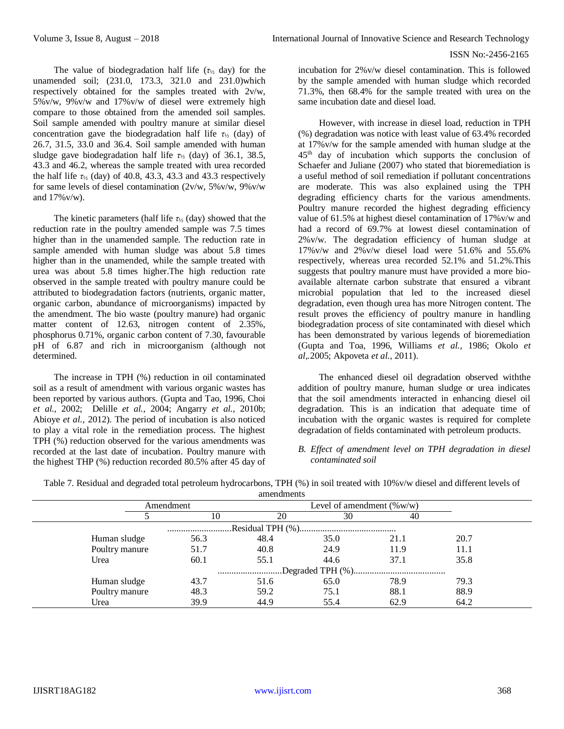The value of biodegradation half life  $(\tau_{1/2}$  day) for the unamended soil; (231.0, 173.3, 321.0 and 231.0)which respectively obtained for the samples treated with 2v/w, 5%v/w, 9%v/w and 17%v/w of diesel were extremely high compare to those obtained from the amended soil samples. Soil sample amended with poultry manure at similar diesel concentration gave the biodegradation half life *τ*<sup>½</sup> (day) of 26.7, 31.5, 33.0 and 36.4. Soil sample amended with human sludge gave biodegradation half life  $\tau_{1/2}$  (day) of 36.1, 38.5, 43.3 and 46.2, whereas the sample treated with urea recorded the half life  $\tau_{1/2}$  (day) of 40.8, 43.3, 43.3 and 43.3 respectively for same levels of diesel contamination  $(2v/w, 5\%v/w, 9\%v/w)$ and 17%v/w).

The kinetic parameters (half life  $\tau_{1/2}$  (day) showed that the reduction rate in the poultry amended sample was 7.5 times higher than in the unamended sample. The reduction rate in sample amended with human sludge was about 5.8 times higher than in the unamended, while the sample treated with urea was about 5.8 times higher.The high reduction rate observed in the sample treated with poultry manure could be attributed to biodegradation factors (nutrients, organic matter, organic carbon, abundance of microorganisms) impacted by the amendment. The bio waste (poultry manure) had organic matter content of 12.63, nitrogen content of 2.35%, phosphorus 0.71%, organic carbon content of 7.30, favourable pH of 6.87 and rich in microorganism (although not determined.

The increase in TPH (%) reduction in oil contaminated soil as a result of amendment with various organic wastes has been reported by various authors. (Gupta and Tao, 1996, Choi *et al.,* 2002; Delille *et al.,* 2004; Angarry *et al.,* 2010b; Abioye *et al.,* 2012). The period of incubation is also noticed to play a vital role in the remediation process. The highest TPH (%) reduction observed for the various amendments was recorded at the last date of incubation. Poultry manure with the highest THP (%) reduction recorded 80.5% after 45 day of

incubation for 2%v/w diesel contamination. This is followed by the sample amended with human sludge which recorded 71.3%, then 68.4% for the sample treated with urea on the same incubation date and diesel load.

However, with increase in diesel load, reduction in TPH (%) degradation was notice with least value of 63.4% recorded at 17%v/w for the sample amended with human sludge at the 45th day of incubation which supports the conclusion of Schaefer and Juliane (2007) who stated that bioremediation is a useful method of soil remediation if pollutant concentrations are moderate. This was also explained using the TPH degrading efficiency charts for the various amendments. Poultry manure recorded the highest degrading efficiency value of 61.5% at highest diesel contamination of 17%v/w and had a record of 69.7% at lowest diesel contamination of 2%v/w. The degradation efficiency of human sludge at  $17\%$  v/w and  $2\%$  v/w diesel load were 51.6% and 55.6% respectively, whereas urea recorded 52.1% and 51.2%.This suggests that poultry manure must have provided a more bioavailable alternate carbon substrate that ensured a vibrant microbial population that led to the increased diesel degradation, even though urea has more Nitrogen content. The result proves the efficiency of poultry manure in handling biodegradation process of site contaminated with diesel which has been demonstrated by various legends of bioremediation (Gupta and Toa, 1996, Williams *et al.,* 1986; Okolo *et al,.*2005; Akpoveta *et al.,* 2011).

The enhanced diesel oil degradation observed withthe addition of poultry manure, human sludge or urea indicates that the soil amendments interacted in enhancing diesel oil degradation. This is an indication that adequate time of incubation with the organic wastes is required for complete degradation of fields contaminated with petroleum products.

## *B. Effect of amendment level on TPH degradation in diesel contaminated soil*

Table 7. Residual and degraded total petroleum hydrocarbons, TPH (%) in soil treated with 10%v/w diesel and different levels of amendments

|                |           | annonumono |      |                              |      |  |
|----------------|-----------|------------|------|------------------------------|------|--|
|                | Amendment |            |      | Level of amendment $(\%w/w)$ |      |  |
|                | 10        | 20         | 30   | 40                           |      |  |
|                |           |            |      |                              |      |  |
| Human sludge   | 56.3      | 48.4       | 35.0 | 21.1                         | 20.7 |  |
| Poultry manure | 51.7      | 40.8       | 24.9 | 11.9                         | 11.1 |  |
| Urea           | 60.1      | 55.1       | 44.6 | 37.1                         | 35.8 |  |
|                |           |            |      |                              |      |  |
| Human sludge   | 43.7      | 51.6       | 65.0 | 78.9                         | 79.3 |  |
| Poultry manure | 48.3      | 59.2       | 75.1 | 88.1                         | 88.9 |  |
| Urea           | 39.9      | 44.9       | 55.4 | 62.9                         | 64.2 |  |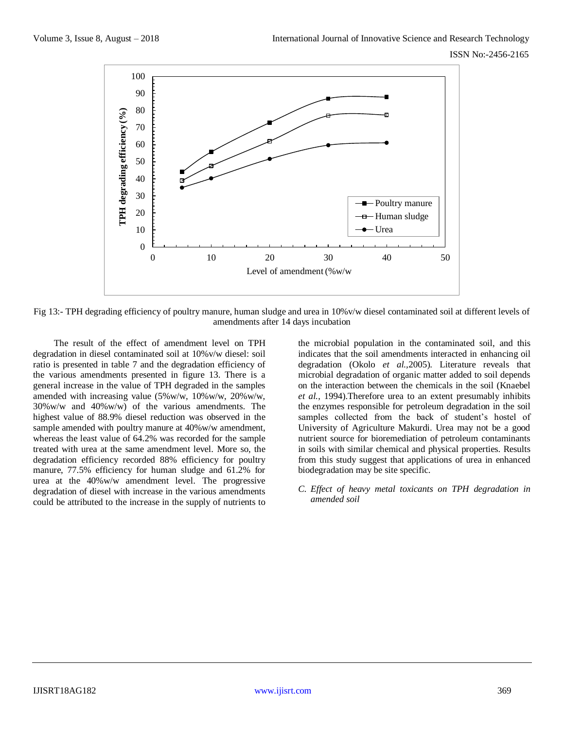

Fig 13:- TPH degrading efficiency of poultry manure, human sludge and urea in 10%v/w diesel contaminated soil at different levels of amendments after 14 days incubation

The result of the effect of amendment level on TPH degradation in diesel contaminated soil at 10%v/w diesel: soil ratio is presented in table 7 and the degradation efficiency of the various amendments presented in figure 13. There is a general increase in the value of TPH degraded in the samples amended with increasing value (5%w/w, 10%w/w, 20%w/w,  $30\%$  w/w and  $40\%$  w/w) of the various amendments. The highest value of 88.9% diesel reduction was observed in the sample amended with poultry manure at  $40\%$  w/w amendment, whereas the least value of 64.2% was recorded for the sample treated with urea at the same amendment level. More so, the degradation efficiency recorded 88% efficiency for poultry manure, 77.5% efficiency for human sludge and 61.2% for urea at the 40%w/w amendment level. The progressive degradation of diesel with increase in the various amendments could be attributed to the increase in the supply of nutrients to

the microbial population in the contaminated soil, and this indicates that the soil amendments interacted in enhancing oil degradation (Okolo *et al.,*2005). Literature reveals that microbial degradation of organic matter added to soil depends on the interaction between the chemicals in the soil (Knaebel *et al.*, 1994).Therefore urea to an extent presumably inhibits the enzymes responsible for petroleum degradation in the soil samples collected from the back of student's hostel of University of Agriculture Makurdi. Urea may not be a good nutrient source for bioremediation of petroleum contaminants in soils with similar chemical and physical properties. Results from this study suggest that applications of urea in enhanced biodegradation may be site specific.

*C. Effect of heavy metal toxicants on TPH degradation in amended soil*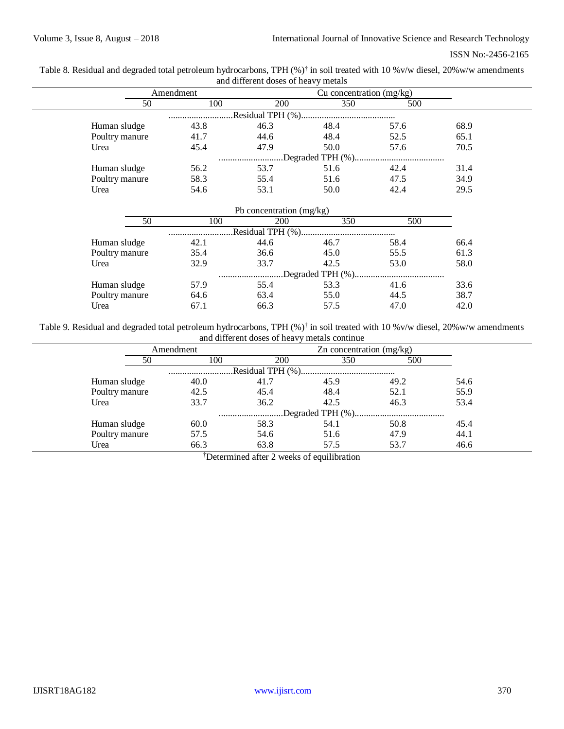Table 8. Residual and degraded total petroleum hydrocarbons, TPH (%)<sup>†</sup> in soil treated with 10 %v/w diesel, 20%w/w amendments and different doses of heavy metals

|                |           | und union one woods of now, , module |                            |      |      |  |
|----------------|-----------|--------------------------------------|----------------------------|------|------|--|
|                | Amendment |                                      | Cu concentration $(mg/kg)$ |      |      |  |
| 50             | 100       | 200                                  | 350                        | 500  |      |  |
|                |           |                                      |                            |      |      |  |
| Human sludge   | 43.8      | 46.3                                 | 48.4                       | 57.6 | 68.9 |  |
| Poultry manure | 41.7      | 44.6                                 | 48.4                       | 52.5 | 65.1 |  |
| Urea           | 45.4      | 47.9                                 | 50.0                       | 57.6 | 70.5 |  |
|                |           |                                      |                            |      |      |  |
| Human sludge   | 56.2      | 53.7                                 | 51.6                       | 42.4 | 31.4 |  |
| Poultry manure | 58.3      | 55.4                                 | 51.6                       | 47.5 | 34.9 |  |
| Urea           | 54.6      | 53.1                                 | 50.0                       | 42.4 | 29.5 |  |

|                |      | Pb concentration (mg/kg) |      |      |      |
|----------------|------|--------------------------|------|------|------|
| 50             | 100  | 200                      | 350  | 500  |      |
|                |      |                          |      |      |      |
| Human sludge   | 42.1 | 44.6                     | 46.7 | 58.4 | 66.4 |
| Poultry manure | 35.4 | 36.6                     | 45.0 | 55.5 | 61.3 |
| Urea           | 32.9 | 33.7                     | 42.5 | 53.0 | 58.0 |
|                |      |                          |      |      |      |
| Human sludge   | 57.9 | 55.4                     | 53.3 | 41.6 | 33.6 |
| Poultry manure | 64.6 | 63.4                     | 55.0 | 44.5 | 38.7 |
| Urea           | 67.1 | 66.3                     | 57.5 | 47.0 | 42.0 |

Table 9. Residual and degraded total petroleum hydrocarbons, TPH (%)† in soil treated with 10 %v/w diesel, 20%w/w amendments and different doses of heavy metals continue

|                |    | Amendment |            | Zn concentration $(mg/kg)$ |      |      |
|----------------|----|-----------|------------|----------------------------|------|------|
|                | 50 | 100       | <b>200</b> | 350                        | 500  |      |
|                |    |           |            |                            |      |      |
| Human sludge   |    | 40.0      | 41.7       | 45.9                       | 49.2 | 54.6 |
| Poultry manure |    | 42.5      | 45.4       | 48.4                       | 52.1 | 55.9 |
| Urea           |    | 33.7      | 36.2       | 42.5                       | 46.3 | 53.4 |
|                |    |           |            |                            |      |      |
| Human sludge   |    | 60.0      | 58.3       | 54.1                       | 50.8 | 45.4 |
| Poultry manure |    | 57.5      | 54.6       | 51.6                       | 47.9 | 44.1 |
| Urea           |    | 66.3      | 63.8       | 57.5                       | 53.7 | 46.6 |

†Determined after 2 weeks of equilibration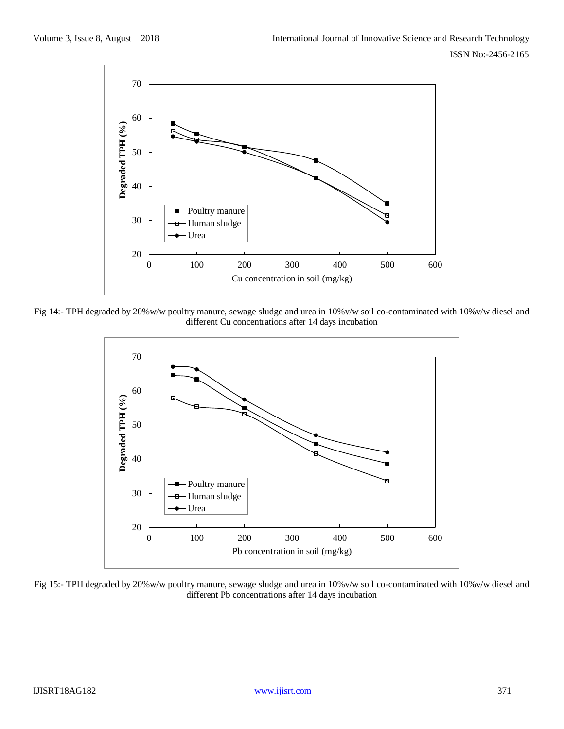

Fig 14:- TPH degraded by 20%w/w poultry manure, sewage sludge and urea in 10%v/w soil co-contaminated with 10%v/w diesel and different Cu concentrations after 14 days incubation



Fig 15:- TPH degraded by 20%w/w poultry manure, sewage sludge and urea in 10%v/w soil co-contaminated with 10%v/w diesel and different Pb concentrations after 14 days incubation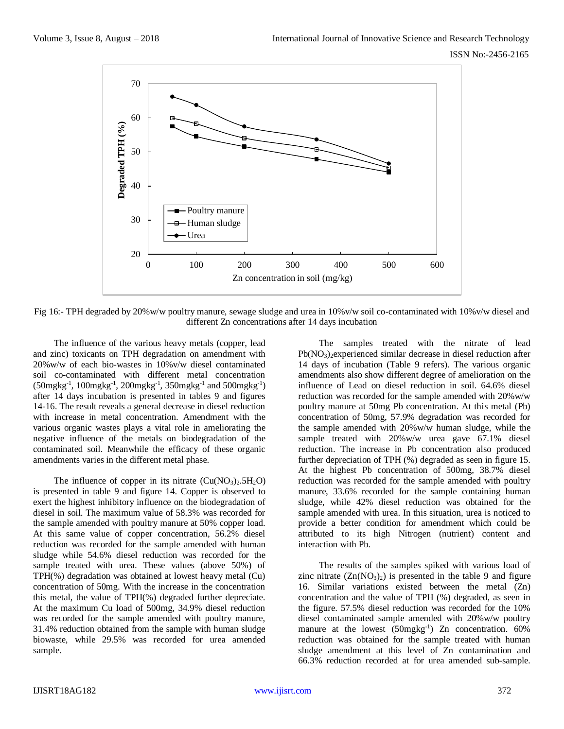

Fig 16:- TPH degraded by 20%w/w poultry manure, sewage sludge and urea in 10%v/w soil co-contaminated with 10%v/w diesel and different Zn concentrations after 14 days incubation

The influence of the various heavy metals (copper, lead and zinc) toxicants on TPH degradation on amendment with 20%w/w of each bio-wastes in 10%v/w diesel contaminated soil co-contaminated with different metal concentration  $(50mgkg^{-1}, 100mgkg^{-1}, 200mgkg^{-1}, 350mgkg^{-1}$  and  $500mgkg^{-1})$ after 14 days incubation is presented in tables 9 and figures 14-16. The result reveals a general decrease in diesel reduction with increase in metal concentration. Amendment with the various organic wastes plays a vital role in ameliorating the negative influence of the metals on biodegradation of the contaminated soil. Meanwhile the efficacy of these organic amendments varies in the different metal phase.

The influence of copper in its nitrate  $(Cu(NO<sub>3</sub>)<sub>2</sub>.5H<sub>2</sub>O)$ is presented in table 9 and figure 14. Copper is observed to exert the highest inhibitory influence on the biodegradation of diesel in soil. The maximum value of 58.3% was recorded for the sample amended with poultry manure at 50% copper load. At this same value of copper concentration, 56.2% diesel reduction was recorded for the sample amended with human sludge while 54.6% diesel reduction was recorded for the sample treated with urea. These values (above 50%) of TPH(%) degradation was obtained at lowest heavy metal (Cu) concentration of 50mg. With the increase in the concentration this metal, the value of TPH(%) degraded further depreciate. At the maximum Cu load of 500mg, 34.9% diesel reduction was recorded for the sample amended with poultry manure, 31.4% reduction obtained from the sample with human sludge biowaste, while 29.5% was recorded for urea amended sample.

The samples treated with the nitrate of lead Pb(NO3)2experienced similar decrease in diesel reduction after 14 days of incubation (Table 9 refers). The various organic amendments also show different degree of amelioration on the influence of Lead on diesel reduction in soil. 64.6% diesel reduction was recorded for the sample amended with 20%w/w poultry manure at 50mg Pb concentration. At this metal (Pb) concentration of 50mg, 57.9% degradation was recorded for the sample amended with 20%w/w human sludge, while the sample treated with 20%w/w urea gave 67.1% diesel reduction. The increase in Pb concentration also produced further depreciation of TPH (%) degraded as seen in figure 15. At the highest Pb concentration of 500mg, 38.7% diesel reduction was recorded for the sample amended with poultry manure, 33.6% recorded for the sample containing human sludge, while 42% diesel reduction was obtained for the sample amended with urea. In this situation, urea is noticed to provide a better condition for amendment which could be attributed to its high Nitrogen (nutrient) content and interaction with Pb.

The results of the samples spiked with various load of zinc nitrate  $(Zn(NO<sub>3</sub>)<sub>2</sub>)$  is presented in the table 9 and figure 16. Similar variations existed between the metal (Zn) concentration and the value of TPH (%) degraded, as seen in the figure. 57.5% diesel reduction was recorded for the 10% diesel contaminated sample amended with 20%w/w poultry manure at the lowest  $(50mgkg<sup>-1</sup>)$  Zn concentration. 60% reduction was obtained for the sample treated with human sludge amendment at this level of Zn contamination and 66.3% reduction recorded at for urea amended sub-sample.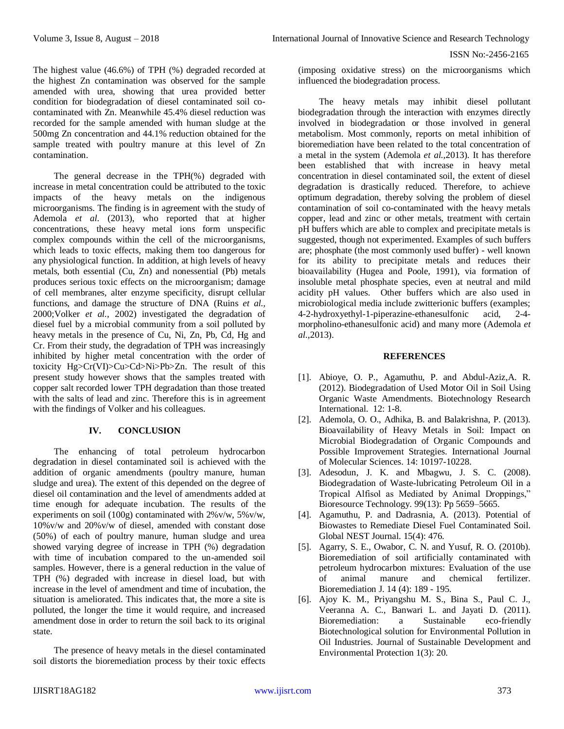The highest value (46.6%) of TPH (%) degraded recorded at the highest Zn contamination was observed for the sample amended with urea, showing that urea provided better condition for biodegradation of diesel contaminated soil cocontaminated with Zn. Meanwhile 45.4% diesel reduction was recorded for the sample amended with human sludge at the 500mg Zn concentration and 44.1% reduction obtained for the sample treated with poultry manure at this level of Zn contamination.

The general decrease in the TPH(%) degraded with increase in metal concentration could be attributed to the toxic impacts of the heavy metals on the indigenous microorganisms. The finding is in agreement with the study of Ademola *et al*. (2013), who reported that at higher concentrations, these heavy metal ions form unspecific complex compounds within the cell of the microorganisms, which leads to toxic effects, making them too dangerous for any physiological function. In addition, at high levels of heavy metals, both essential (Cu, Zn) and nonessential (Pb) metals produces serious toxic effects on the microorganism; damage of cell membranes, alter enzyme specificity, disrupt cellular functions, and damage the structure of DNA (Ruins *et al.,* 2000;Volker *et al.,* 2002) investigated the degradation of diesel fuel by a microbial community from a soil polluted by heavy metals in the presence of Cu, Ni, Zn, Pb, Cd, Hg and Cr. From their study, the degradation of TPH was increasingly inhibited by higher metal concentration with the order of toxicity Hg>Cr(VI)>Cu>Cd>Ni>Pb>Zn. The result of this present study however shows that the samples treated with copper salt recorded lower TPH degradation than those treated with the salts of lead and zinc. Therefore this is in agreement with the findings of Volker and his colleagues.

# **IV. CONCLUSION**

The enhancing of total petroleum hydrocarbon degradation in diesel contaminated soil is achieved with the addition of organic amendments (poultry manure, human sludge and urea). The extent of this depended on the degree of diesel oil contamination and the level of amendments added at time enough for adequate incubation. The results of the experiments on soil (100g) contaminated with  $2\%$  v/w,  $5\%$  v/w, 10%v/w and 20%v/w of diesel, amended with constant dose (50%) of each of poultry manure, human sludge and urea showed varying degree of increase in TPH (%) degradation with time of incubation compared to the un-amended soil samples. However, there is a general reduction in the value of TPH (%) degraded with increase in diesel load, but with increase in the level of amendment and time of incubation, the situation is ameliorated. This indicates that, the more a site is polluted, the longer the time it would require, and increased amendment dose in order to return the soil back to its original state.

The presence of heavy metals in the diesel contaminated soil distorts the bioremediation process by their toxic effects

(imposing oxidative stress) on the microorganisms which influenced the biodegradation process.

The heavy metals may inhibit diesel pollutant biodegradation through the interaction with enzymes directly involved in biodegradation or those involved in general metabolism. Most commonly, reports on metal inhibition of bioremediation have been related to the total concentration of a metal in the system (Ademola *et al.,*2013). It has therefore been established that with increase in heavy metal concentration in diesel contaminated soil, the extent of diesel degradation is drastically reduced. Therefore, to achieve optimum degradation, thereby solving the problem of diesel contamination of soil co-contaminated with the heavy metals copper, lead and zinc or other metals, treatment with certain pH buffers which are able to complex and precipitate metals is suggested, though not experimented. Examples of such buffers are; phosphate (the most commonly used buffer) - well known for its ability to precipitate metals and reduces their bioavailability (Hugea and Poole, 1991), via formation of insoluble metal phosphate species, even at neutral and mild acidity pH values. Other buffers which are also used in microbiological media include zwitterionic buffers (examples; 4-2-hydroxyethyl-1-piperazine-ethanesulfonic acid, 2-4 morpholino-ethanesulfonic acid) and many more (Ademola *et al.,*2013).

## **REFERENCES**

- [1]. [Abioye,](http://www.hindawi.com/98785953/) O. P., [Agamuthu,](http://www.hindawi.com/83670726/) P. and [Abdul-Aziz,](http://www.hindawi.com/74503543/)A. R. (2012). Biodegradation of Used Motor Oil in Soil Using Organic Waste Amendments. Biotechnology Research International. 12: 1-8.
- [2]. Ademola, O. O., Adhika, B. and Balakrishna, P. (2013). Bioavailability of Heavy Metals in Soil: Impact on Microbial Biodegradation of Organic Compounds and Possible Improvement Strategies. International Journal of Molecular Sciences. 14: 10197-10228.
- [3]. Adesodun, J. K. and Mbagwu, J. S. C. (2008). Biodegradation of Waste-lubricating Petroleum Oil in a Tropical Alfisol as Mediated by Animal Droppings," Bioresource Technology. 99(13): Pp 5659–5665.
- [4]. Agamuthu, P. and Dadrasnia, A. (2013). Potential of Biowastes to Remediate Diesel Fuel Contaminated Soil. Global NEST Journal. 15(4): 476.
- [5]. Agarry, S. E., Owabor, C. N. and Yusuf, R. O. (2010b). Bioremediation of soil artificially contaminated with petroleum hydrocarbon mixtures: Evaluation of the use of animal manure and chemical fertilizer. Bioremediation J. 14 (4): 189 - 195.
- [6]. Ajoy K. M., Priyangshu M. S., Bina S., Paul C. J., Veeranna A. C., Banwari L. and Jayati D. (2011). Bioremediation: a Sustainable eco-friendly Biotechnological solution for Environmental Pollution in Oil Industries. Journal of Sustainable Development and Environmental Protection 1(3): 20.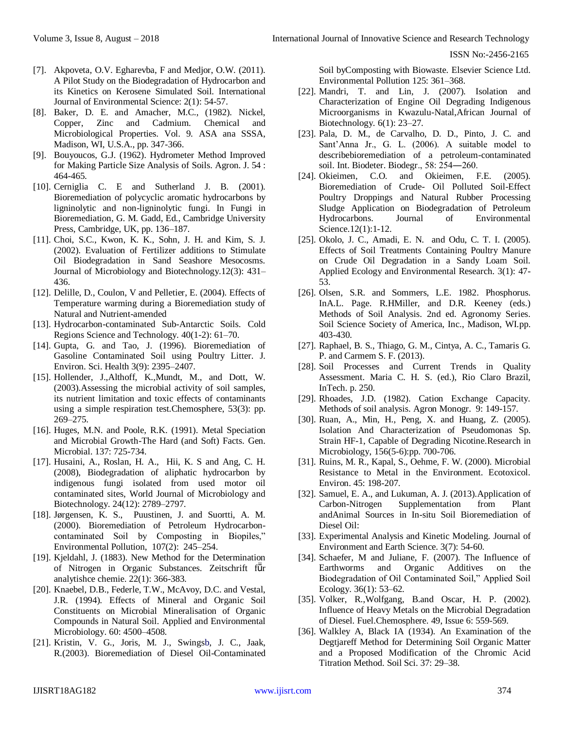- [7]. Akpoveta, O.V. Egharevba, F and Medjor, O.W. (2011). A Pilot Study on the Biodegradation of Hydrocarbon and its Kinetics on Kerosene Simulated Soil. International Journal of Environmental Science: 2(1): 54-57.
- [8]. Baker, D. E. and Amacher, M.C., (1982). Nickel, Copper, Zinc and Cadmium. Chemical and Microbiological Properties. Vol. 9. ASA ana SSSA, Madison, WI, U.S.A., pp. 347-366.
- [9]. Bouyoucos, G.J. (1962). Hydrometer Method Improved for Making Particle Size Analysis of Soils. Agron. J. 54 : 464-465.
- [10]. Cerniglia C. E and Sutherland J. B. (2001). Bioremediation of polycyclic aromatic hydrocarbons by ligninolytic and non-ligninolytic fungi. In Fungi in Bioremediation, G. M. Gadd, Ed., Cambridge University Press, Cambridge, UK, pp. 136–187.
- [11]. Choi, S.C., Kwon, K. K., Sohn, J. H. and Kim, S. J. (2002). Evaluation of Fertilizer additions to Stimulate Oil Biodegradation in Sand Seashore Mesocosms. Journal of Microbiology and Biotechnology.12(3): 431– 436.
- [12]. Delille, D., Coulon, V and Pelletier, E. (2004). Effects of Temperature warming during a Bioremediation study of Natural and Nutrient-amended
- [13]. Hydrocarbon-contaminated Sub-Antarctic Soils. Cold Regions Science and Technology. 40(1-2): 61–70.
- [14]. Gupta, G. and Tao, J. (1996). Bioremediation of Gasoline Contaminated Soil using Poultry Litter. J. Environ. Sci. Health 3(9): 2395–2407.
- [15]. Hollender, J.,Althoff, K.,Mundt, M., and Dott, W. (2003).Assessing the microbial activity of soil samples, its nutrient limitation and toxic effects of contaminants using a simple respiration test.Chemosphere, 53(3): pp. 269–275.
- [16]. Huges, M.N. and Poole, R.K. (1991). Metal Speciation and Microbial Growth-The Hard (and Soft) Facts. Gen. Microbial. 137: 725-734.
- [17]. Husaini, A., Roslan, H. A., Hii, K. S and Ang, C. H. (2008), Biodegradation of aliphatic hydrocarbon by indigenous fungi isolated from used motor oil contaminated sites, World Journal of Microbiology and Biotechnology. 24(12): 2789–2797.
- [18]. Jørgensen, K. S., Puustinen, J. and Suortti, A. M. (2000). Bioremediation of Petroleum Hydrocarboncontaminated Soil by Composting in Biopiles," Environmental Pollution, 107(2): 245–254.
- [19]. Kjeldahl, J. (1883). New Method for the Determination of Nitrogen in Organic Substances. Zeitschrift für analytishce chemie. 22(1): 366-383.
- [20]. Knaebel, D.B., Federle, T.W., McAvoy, D.C. and Vestal, J.R. (1994). Effects of Mineral and Organic Soil Constituents on Microbial Mineralisation of Organic Compounds in Natural Soil. Applied and Environmental Microbiology. 60: 4500–4508.
- [21]. Kristin, V. G., Joris, M. J., Swingsb, J. C., Jaak, R.(2003). Bioremediation of Diesel Oil-Contaminated

Soil byComposting with Biowaste. Elsevier Science Ltd. Environmental Pollution 125: 361–368.

- [22]. Mandri, T. and Lin, J. (2007). Isolation and Characterization of Engine Oil Degrading Indigenous Microorganisms in Kwazulu-Natal,African Journal of Biotechnology. 6(1): 23–27.
- [23]. Pala, D. M., de Carvalho, D. D., Pinto, J. C. and Sant'Anna Jr., G. L. (2006). A suitable model to describebioremediation of a petroleum-contaminated soil. Int. Biodeter. Biodegr., 58: 254―260.
- [24]. Okieimen, C.O. and Okieimen, F.E. (2005). Bioremediation of Crude- Oil Polluted Soil-Effect Poultry Droppings and Natural Rubber Processing Sludge Application on Biodegradation of Petroleum Hydrocarbons. Journal of Environmental Science.12(1):1-12.
- [25]. Okolo, J. C., Amadi, E. N. and Odu, C. T. I. (2005). Effects of Soil Treatments Containing Poultry Manure on Crude Oil Degradation in a Sandy Loam Soil. Applied Ecology and Environmental Research. 3(1): 47- 53.
- [26]. Olsen, S.R. and Sommers, L.E. 1982. Phosphorus. InA.L. Page. R.HMiller, and D.R. Keeney (eds.) Methods of Soil Analysis. 2nd ed. Agronomy Series. Soil Science Society of America, Inc., Madison, WI.pp. 403-430.
- [27]. Raphael, B. S., Thiago, G. M., Cintya, A. C., Tamaris G. P. and Carmem S. F. (2013).
- [28]. Soil Processes and Current Trends in Quality Assessment. Maria C. H. S. (ed.), Rio Claro Brazil, InTech. p. 250.
- [29]. Rhoades, J.D. (1982). Cation Exchange Capacity. Methods of soil analysis. Agron Monogr. 9: 149-157.
- [30]. Ruan, A., Min, H., Peng, X. and Huang, Z. (2005). Isolation And Characterization of Pseudomonas Sp. Strain HF-1, Capable of Degrading Nicotine.Research in Microbiology, 156(5-6):pp. 700-706.
- [31]. Ruins, M. R., Kapal, S., Oehme, F. W. (2000). Microbial Resistance to Metal in the Environment. Ecotoxicol. Environ. 45: 198-207.
- [32]. Samuel, E. A., and Lukuman, A. J. (2013).Application of Carbon-Nitrogen Supplementation from Plant andAnimal Sources in In-situ Soil Bioremediation of Diesel Oil:
- [33]. Experimental Analysis and Kinetic Modeling. Journal of Environment and Earth Science. 3(7): 54-60.
- [34]. Schaefer, M and Juliane, F. (2007). The Influence of Earthworms and Organic Additives on the Biodegradation of Oil Contaminated Soil," Applied Soil Ecology. 36(1): 53–62.
- [35]. [Volker, R.,Wolfgang, B.a](http://www.sciencedirect.com/science/article/pii/S0045653502003867)nd [Oscar, H. P.](http://www.sciencedirect.com/science/article/pii/S0045653502003867) (2002). Influence of Heavy Metals on the Microbial Degradation of Diesel. Fuel.Chemosphere. 49, Issue 6: 559-569.
- [36]. Walkley A, Black IA (1934). An Examination of the Degtjareff Method for Determining Soil Organic Matter and a Proposed Modification of the Chromic Acid Titration Method. Soil Sci. 37: 29–38.